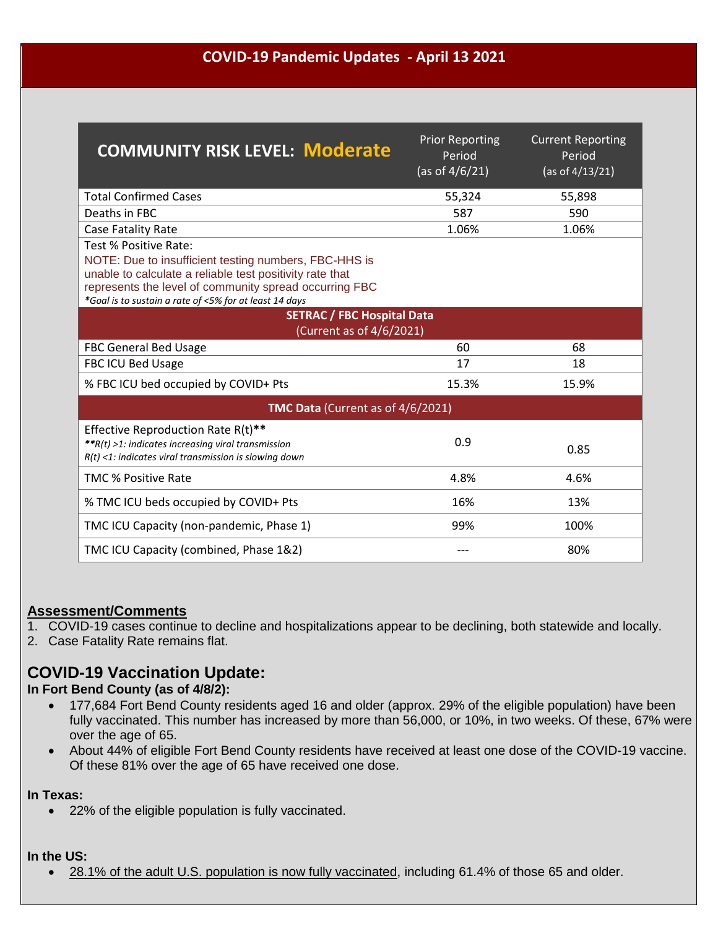## **COVID-19 Pandemic Updates - April 13 2021**

| <b>COMMUNITY RISK LEVEL: Moderate</b>                                                                                                                                                                                                                          | <b>Prior Reporting</b><br>Period<br>(as of $4/6/21$ ) | <b>Current Reporting</b><br>Period<br>(as of $4/13/21$ ) |
|----------------------------------------------------------------------------------------------------------------------------------------------------------------------------------------------------------------------------------------------------------------|-------------------------------------------------------|----------------------------------------------------------|
| <b>Total Confirmed Cases</b>                                                                                                                                                                                                                                   | 55,324                                                | 55,898                                                   |
| Deaths in FBC                                                                                                                                                                                                                                                  | 587                                                   | 590                                                      |
| Case Fatality Rate                                                                                                                                                                                                                                             | 1.06%                                                 | 1.06%                                                    |
| Test % Positive Rate:<br>NOTE: Due to insufficient testing numbers, FBC-HHS is<br>unable to calculate a reliable test positivity rate that<br>represents the level of community spread occurring FBC<br>*Goal is to sustain a rate of <5% for at least 14 days |                                                       |                                                          |
| <b>SETRAC / FBC Hospital Data</b><br>(Current as of 4/6/2021)                                                                                                                                                                                                  |                                                       |                                                          |
| <b>FBC General Bed Usage</b>                                                                                                                                                                                                                                   | 60                                                    | 68                                                       |
| FBC ICU Bed Usage                                                                                                                                                                                                                                              | 17                                                    | 18                                                       |
| % FBC ICU bed occupied by COVID+ Pts                                                                                                                                                                                                                           | 15.3%                                                 | 15.9%                                                    |
| <b>TMC Data (Current as of 4/6/2021)</b>                                                                                                                                                                                                                       |                                                       |                                                          |
| Effective Reproduction Rate R(t)**<br>**R(t) >1: indicates increasing viral transmission<br>$R(t)$ <1: indicates viral transmission is slowing down                                                                                                            | 0.9                                                   | 0.85                                                     |
| <b>TMC % Positive Rate</b>                                                                                                                                                                                                                                     | 4.8%                                                  | 4.6%                                                     |
| % TMC ICU beds occupied by COVID+ Pts                                                                                                                                                                                                                          | 16%                                                   | 13%                                                      |
| TMC ICU Capacity (non-pandemic, Phase 1)                                                                                                                                                                                                                       | 99%                                                   | 100%                                                     |
| TMC ICU Capacity (combined, Phase 1&2)                                                                                                                                                                                                                         |                                                       | 80%                                                      |

# **Assessment/Comments**

1. COVID-19 cases continue to decline and hospitalizations appear to be declining, both statewide and locally.

2. Case Fatality Rate remains flat.

# **COVID-19 Vaccination Update:**

**In Fort Bend County (as of 4/8/2):**

- 177,684 Fort Bend County residents aged 16 and older (approx. 29% of the eligible population) have been fully vaccinated. This number has increased by more than 56,000, or 10%, in two weeks. Of these, 67% were over the age of 65.
- About 44% of eligible Fort Bend County residents have received at least one dose of the COVID-19 vaccine. Of these 81% over the age of 65 have received one dose.

#### **In Texas:**

22% of the eligible population is fully vaccinated.

#### **In the US:**

[28.1% of the adult U.S. population is now fully vaccinated,](https://covid.cdc.gov/covid-data-tracker/?CDC_AA_refVal=https://www.cdc.gov/coronavirus/2019-ncov/cases-updates/cases-in-us.html#vaccinations) including 61.4% of those 65 and older.